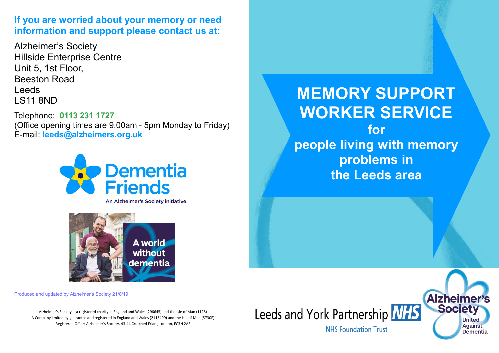### **If you are worried about your memory or need information and support please contact us at:**

Alzheimer's Society Hillside Enterprise Centre Unit 5, 1st Floor, Beeston Road Leeds LS11 8ND

Telephone: **0113 231 1727**  (Office opening times are 9.00am - 5pm Monday to Friday) E-mail: **leeds@alzheimers.org.uk** 



An Alzheimer's Society initiative



Produced and updated by Alzheimer's Society 21/8/19

Alzheimer's Society is a registered charity in England and Wales (296645) and the Isle of Man (1128) A Company limited by guarantee and registered in England and Wales (2115499) and the Isle of Man (5730F) Registered Office: Alzheimer's Society, 43-44 Crutched Friars, London, EC3N 2AE

**MEMORY SUPPORT WORKER SERVICE**

**for people living with memory problems in the Leeds area**

**NHS Foundation Trust** 

Leeds and York Partnership NHS

**Alzheime Societ** 

> **United Against**

**Dementia**